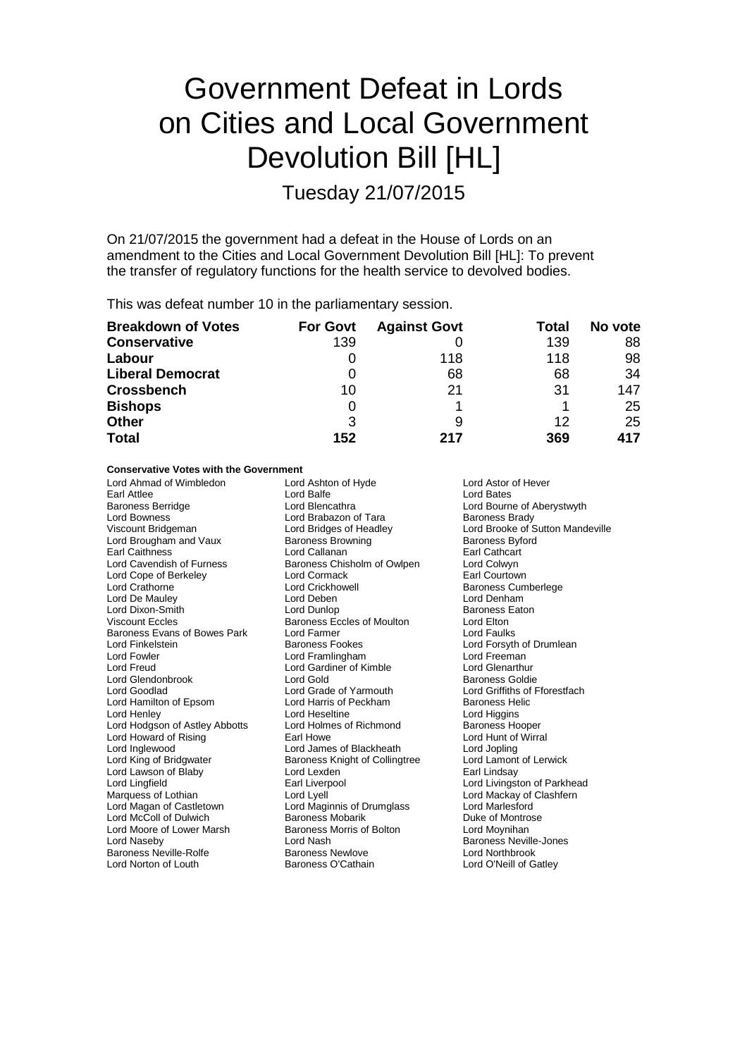# Government Defeat in Lords on Cities and Local Government Devolution Bill [HL]

Tuesday 21/07/2015

On 21/07/2015 the government had a defeat in the House of Lords on an amendment to the Cities and Local Government Devolution Bill [HL]: To prevent the transfer of regulatory functions for the health service to devolved bodies.

This was defeat number 10 in the parliamentary session.

| <b>Breakdown of Votes</b> | <b>For Govt</b> | <b>Against Govt</b> | Total | No vote |
|---------------------------|-----------------|---------------------|-------|---------|
| <b>Conservative</b>       | 139             |                     | 139   | 88      |
| Labour                    |                 | 118                 | 118   | 98      |
| <b>Liberal Democrat</b>   |                 | 68                  | 68    | 34      |
| <b>Crossbench</b>         | 10              | 21                  | 31    | 147     |
| <b>Bishops</b>            | 0               |                     |       | 25      |
| <b>Other</b>              | 3               | 9                   | 12    | 25      |
| <b>Total</b>              | 152             | 217                 | 369   | 417     |

#### **Conservative Votes with the Government**

Lord Ahmad of Wimbledon Lord Ashton of Hyde Lord Ashton Lord Ashton Christen Lord Ashton Christen Lord Bates Lord Bates Earl Attlee **Lord Balfe** Lord Balfe **Lord Bates** Lord Bates Baroness Berridge **Lord Blencathra** Lord Bourne of Aberystwyth<br>
Lord Bourness<br>
Lord Bourness<br>
Lord Brabazon of Tara<br>
Baroness Brady Lord Bowness<br>
Viscount Bridgeman<br>
Lord Bridges of Headley Lord Brougham and Vaux Earl Caithness **Earl Cathcart**<br>
Lord Cavendish of Furness **Earl Cathcart**<br>
Baroness Chisholm of Owlpen Lord Colwyn Lord Cope of Berkeley Lord Cormack<br>
Lord Crathorne Lord Crickhowell Lord De Mauley Lord Deben Lord Denham Lord Dixon-Smith Lord Dunlop Lord Dunlop Baroness I<br>Viscount Eccles Arizon Baroness Eccles of Moulton Lord Elton Baroness Evans of Bowes Park Lord Farmer Lord Faulks Lord Finkelstein **Example 2** Baroness Fookes **Lord Forsyth of Drumlean**<br>
Baroness Fookes Lord Frames Lord Freeman<br>
Lord Freeman Lord Fowler **Lord Framlingham** Lord Freeman<br>
Lord Free Lord Cardiner of Kimble<br>
Lord Free Lord Cardiner of Kimble<br>
Lord Free Lord Clenarthur Lord Glendonbrook Lord Gold<br>
Lord Goodlad
Lord Goodlad
Lord Grade of Yarmouth Lord Hamilton of Epsom Lord Harris of Peckham Baroness Helical Baroness Helical Baroness Helical Baroness Heli<br>Baroness Helical Baroness Helical Baroness Helical Baroness Helical Baroness Helical Baroness Helical Baroness Lord Henley **Lord Heseltine** Lord Heseltine Lord Higgins Lord Higgins<br>
Lord Hodgson of Astley Abbotts Lord Holmes of Richmond **Baroness Hooper** Lord Hodgson of Astley Abbotts Lord Holmes of Richmond Baroness Hooper<br>
Lord Howard of Rising Lord Hunt of Wirral Lord Howard of Rising<br>
Lord Inglewood 
Lord Inglewood

Lord Inglewood

Lord Inglewood

Lord Inglewood

Lord Inglewood

Lord Inglewood

Lord Inglewood

Lord Inglewood

Lord Inglewood

Lord Inglewood

Lord Inglewood Lord Inglewood **Lord James of Blackheath** Cord Jopling<br>
Lord King of Bridgwater **Lord Lamont of Lerwick**<br>
Lord Lamont of Lerwick Lord Lawson of Blaby **Lord Lexden** Earl Lindsay<br>
Lord Lindsay<br>
Lord Lindfield **Earl Live Earl Liverpool** Lord Lingfield **Earl Liverpool** Earl Liverpool **Lord Livingston of Parkhead** Cord Livingston of Parkhead Cord Mackay of Clashfern Marquess of Lothian **Lord Lyell** Lord Lyell Lord Mackay of Clashfern<br>
Lord Magan of Castletown Lord Maginnis of Drumglass Lord Marlesford Lord McColl of Dulwich **Baroness Mobarik** Duke of Montrose Duke of Montrose of Lower Marsh Baroness Morris of Bolton Lord Moore of Lower Marsh Lord Naseby **Lord Nash Baroness Neville-Jones**<br>
Baroness Neville-Rolfe Baroness Newlove **Baroness Newlowe**<br>
Lord Northbrook Baroness Neville-Rolfe Baroness Newlove<br>
Lord Norton of Louth Baroness O'Cathain

Baroness Chisholm of Owlpen Lord Colwyn<br>
Lord Cormack Context Earl Courtown Lord Crickhowell **Crathorne Lord Crickhowell**<br>
Lord Deben<br>
Lord Denham Baroness Eccles of Moulton Lord Gardiner of Kimble<br>
Lord Gold<br>
Baroness Goldie Lord Grade of Yarmouth Lord Griffiths of Fforestfach<br>
Lord Harris of Peckham Baroness Helic Baroness Knight of Collingtree Lord Maginnis of Drumglass Lord Marlesford<br>
Baroness Mobarik Lord Marlesford

Lord Bridges of Headley Lord Brooke of Sutton Mandeville<br>
Baroness Browning Baroness Byford Lord O'Neill of Gatley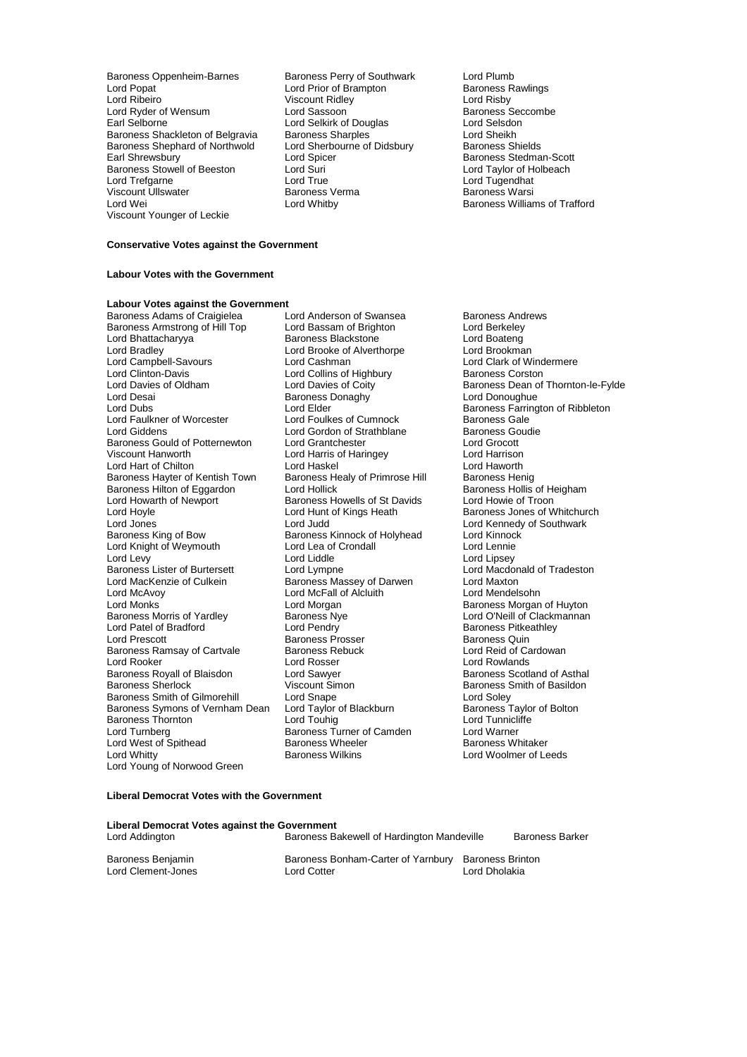Baroness Oppenheim-Barnes Baroness Perry of Southwark Lord Plumb<br>
Lord Popat Cord Prior of Brampton Baroness Rawlings Lord Popat **Lord Prior of Brampton**<br>
Lord Ribeiro<br>
Viscount Ridley Lord Ribeiro Viscount Ridley<br>
Lord Ryder of Wensum<br>
Lord Sassoon Lord Ribeiro Mensum (1999)<br>
Lord Risby (1999)<br>
Lord Risby (1999)<br>
Lord Sassoon (1999)<br>
Lord Selsalon (1999)<br>
Lord Selsalon (1999)<br>
Lord Selsalon (1999)<br>
Lord Selsalon (1999)<br>
Lord Selsalon (1999) Baroness Shackleton of Belgravia Baroness Sharples (And Sheikh Lord Sheikh Baroness Shields Lord Sheikh Baroness Shields Baroness Shephard of Northwold Lord Sherbourne Carolic Sherbourne Carolic Lord Sherbourne of Didshurst Carolic Spicer Baroness Stowell of Beeston Lord Suri<br>
Lord Trefgarne Cord Crue Lord Trefgarne Lord True Lord Tugendhat Viscount Ullswater Baroness Verma Baroness Warsi Viscount Younger of Leckie

**Lord Selkirk of Douglas Lord Selsdon<br>
Baroness Sharples Lord Sheikh** Earl Spicer Early Cord Spicer Early Cord Spicer Baroness Stedman-Scott<br>
Lord Suri Lord Taylor of Holbeach

Baroness Williams of Trafford

### **Conservative Votes against the Government**

#### **Labour Votes with the Government**

## **Labour Votes against the Government**

Baroness Armstrong of Hill Top Lord Bassam of Brighton Lord Berkeley<br>Lord Bhattacharvva Baroness Blackstone Lord Boateng Lord Bhattacharyya **Baroness Blackstone** Eord Boateng<br>
Lord Bradley Lord Brooke of Alverthorpe Lord Brookman Lord Campbell-Savours Lord Cashman Lord Care Lord Clark of Wind<br>Lord Clinton-Davis Lord Collins of Highbury Baroness Corston Lord Clinton-Davis<br>
Lord Davies of Oldham<br>
Lord Davies of Coity Lord Davies of Oldham Lord Davies of Coity<br>
Lord Desain Cord Davies Donaghy<br>
Lord Denoughue<br>
Lord Donoughue Lord Desai Baroness Donaghy<br>
Lord Dubs<br>
Lord Dubs<br>
Lord Elder Lord Faulkner of Worcester Lord Foulkes of Cumnock Baroness Gale<br>
Lord Giddens Coudie Lord Gordon of Strathblane Baroness Goudie Baroness Gould of Potternewton Lord Grantchester Lord Grocott Lord Hart of Chilton **Lord Haskel** Lord Haskel Lord Haworth Lord Haworth Lord Haworth Lord Haworth Baroness Henig Baroness Hayter of Kentish Town Baroness Healy of Primrose Hill Baroness Henig<br>Baroness Hilton of Eggardon Lord Hollick Baroness Hollis of Heigham Baroness Hilton of Eggardon Lord Hollick **Baroness Hollis of Heigham Hollis of Heigham**<br>
Lord Howarth of Newport Baroness Howells of St Davids Lord Howie of Troon Lord Howarth of Newport Baroness Howells of St Davids<br>
Lord Hoyle Cord Hunt of Kings Heath Lord Hoyle **Lord Hunt of Kings Heath** Baroness Jones of Whitchurch<br>
Lord Jones **Lord Lord Lord Hunt of Allent Lord Kennedy of Southwark** Lord Jones **Lord Lord Judd** Lord Judd Lord Lord Kennedy of Southwark<br>
Baroness King of Bow **Baroness Kinnock of Holyhead** Lord Kinnock Lord Knight of Weymouth Lord Lea of Crondall Lord Lennie Lord Levy<br>
Lord Linsey Lord Linsey<br>
Baroness Lister of Burtersett Lord Lympne Lord Lord Macdonald of Tradeston Baroness Lister of Burtersett Lord Lympne Lord Macdon<br>
Lord MacKenzie of Culkein Baroness Massey of Darwen Lord Maxton Lord MacKenzie of Culkein **Baroness Massey of Darwen** Lord Maxton<br>
Lord McAvov **Consult Cord McCall of Alcluith** Lord Mendelsohn Lord McAvoy **Lord McFall of Alcluith**<br>
Lord Monks<br>
Lord Morgan Lord Monks<br>
Lord Morgan Morgan Morgan Baroness Null Baroness Morgan of Huyton<br>
Baroness Morris of Yardley Baroness Nye Cloud D'Neill of Clackmannan Lord Patel of Bradford <sup>2</sup> 1 Lord Pendry<br>
Lord Prescott 1 Lord Pendry Baroness Prosser<br>
Baroness Quin Baroness Ramsay of Cartvale Baroness Re<br>
Lord Rooker Cardowan Lord Rosser Baroness Royall of Blaisdon Lord Sawyer<br>
Baroness Sherlock **Carolina Contact Contact Contact Contact** Contact Cheron Baroness Smith of Gilmorehill Lord Snape Lord Soley<br>
Baroness Symons of Vernham Dean Lord Taylor of Blackburn Baroness Taylor of Bolton Baroness Symons of Vernham Dean Lord Taylor of Blackburn Baroness Taylor of Blackburn Baroness Taylor of Blackburn Cord Tunnicliffe Baroness Thornton **Exercise Secure Lord Touhig Lord Tunniclifferial Corporation Corporation**<br>
Lord Turnberg **Corporation Corporation**<br>
Baroness Turner of Camden Lord Warner Lord West of Spithead Baroness Wheeler Baroness Wheeler Baroness Wikins Lord Young of Norwood Green

Baroness Adams of Craigielea Lord Anderson of Swansea Baroness Andrews<br>Baroness Armstrong of Hill Top Lord Bassam of Brighton Lord Berkeley Lord Brooke of Alverthorpe Lord Brookman<br>
Lord Cashman 
Lord Clark of Windermere Lord Gordon of Strathblane Baroness Goudien<br>
Baroness Goudien<br>
Lord Grocott Lord Harris of Haringey Lord Harrison<br>
Lord Haskel Cord Haworth Baroness Kinnock of Holyhead Lord Kinnock Cord Lea of Crondall Baroness Nye **Abraham Lord O'Neill of Clackmannan**<br>
Lord Pendry **Corris Clackmannan**<br>
Baroness Pitkeathley Baroness Prosser **Baroness Prosser** Baroness Quin<br>Baroness Rebuck **Baroness Quin**<br>Lord Reid of Cardowan Lord Rosser **Lord Rowlands**<br>
Lord Sawyer **Lord Rowland Research Royal Baroness** Scotland of Asthal Viscount Simon<br>
Lord Snape<br>
Lord Soley<br>
Lord Soley Examples Baroness Turner of Camden Lord Warner<br>
Baroness Wheeler Baroness Whitaker

Lord Elder **Elder** Baroness Farrington of Ribbleton<br>
Lord Foulkes of Cumnock<br>
Baroness Gale Lord Woolmer of Leeds

#### **Liberal Democrat Votes with the Government**

| Liberal Democrat Votes against the Government |                                                   |                                          |                        |  |  |  |
|-----------------------------------------------|---------------------------------------------------|------------------------------------------|------------------------|--|--|--|
| Lord Addington                                | Baroness Bakewell of Hardington Mandeville        |                                          | <b>Baroness Barker</b> |  |  |  |
| Baroness Benjamin<br>Lord Clement-Jones       | Baroness Bonham-Carter of Yarnbury<br>Lord Cotter | <b>Baroness Brinton</b><br>Lord Dholakia |                        |  |  |  |